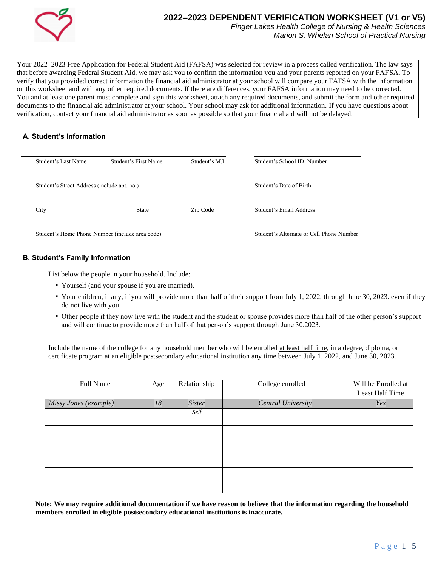

# **2022–2023 DEPENDENT VERIFICATION WORKSHEET (V1 or V5)**

*Finger Lakes Health College of Nursing & Health Sciences Marion S. Whelan School of Practical Nursing*

Your 2022–2023 Free Application for Federal Student Aid (FAFSA) was selected for review in a process called verification. The law says that before awarding Federal Student Aid, we may ask you to confirm the information you and your parents reported on your FAFSA. To verify that you provided correct information the financial aid administrator at your school will compare your FAFSA with the information on this worksheet and with any other required documents. If there are differences, your FAFSA information may need to be corrected. You and at least one parent must complete and sign this worksheet, attach any required documents, and submit the form and other required documents to the financial aid administrator at your school. Your school may ask for additional information. If you have questions about verification, contact your financial aid administrator as soon as possible so that your financial aid will not be delayed.

# **A. Student's Information**

|      | Student's Last Name                             | Student's First Name                     | Student's M.I.          | Student's School ID Number |
|------|-------------------------------------------------|------------------------------------------|-------------------------|----------------------------|
|      | Student's Street Address (include apt. no.)     |                                          | Student's Date of Birth |                            |
| City |                                                 | State                                    | Zip Code                | Student's Email Address    |
|      | Student's Home Phone Number (include area code) | Student's Alternate or Cell Phone Number |                         |                            |

**B. Student's Family Information**

List below the people in your household. Include:

- Yourself (and your spouse if you are married).
- Your children, if any, if you will provide more than half of their support from July 1, 2022, through June 30, 2023. even if they do not live with you.
- Other people if they now live with the student and the student or spouse provides more than half of the other person's support and will continue to provide more than half of that person's support through June 30,2023.

Include the name of the college for any household member who will be enrolled at least half time, in a degree, diploma, or certificate program at an eligible postsecondary educational institution any time between July 1, 2022, and June 30, 2023.

| Full Name             | Age | Relationship  | College enrolled in       | Will be Enrolled at |
|-----------------------|-----|---------------|---------------------------|---------------------|
|                       |     |               |                           | Least Half Time     |
| Missy Jones (example) | 18  | <b>Sister</b> | <b>Central University</b> | Yes                 |
|                       |     | Self          |                           |                     |
|                       |     |               |                           |                     |
|                       |     |               |                           |                     |
|                       |     |               |                           |                     |
|                       |     |               |                           |                     |
|                       |     |               |                           |                     |
|                       |     |               |                           |                     |
|                       |     |               |                           |                     |
|                       |     |               |                           |                     |
|                       |     |               |                           |                     |

**Note: We may require additional documentation if we have reason to believe that the information regarding the household members enrolled in eligible postsecondary educational institutions is inaccurate.**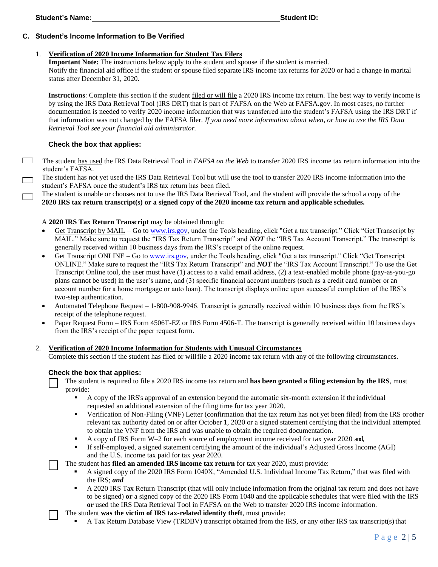# **C. Student's Income Information to Be Verified**

## 1. **Verification of 2020 Income Information for Student Tax Filers**

**Important Note:** The instructions below apply to the student and spouse if the student is married.

Notify the financial aid office if the student or spouse filed separate IRS income tax returns for 2020 or had a change in marital status after December 31, 2020.

**Instructions**: Complete this section if the student filed or will file a 2020 IRS income tax return. The best way to verify income is by using the IRS Data Retrieval Tool (IRS DRT) that is part of FAFSA on the Web at FAFSA.gov. In most cases, no further documentation is needed to verify 2020 income information that was transferred into the student's FAFSA using the IRS DRT if that information was not changed by the FAFSA filer. *If you need more information about when, or how to use the IRS Data Retrieval Tool see your financial aid administrator.*

# **Check the box that applies:**

The student has used the IRS Data Retrieval Tool in *FAFSA on the Web* to transfer 2020 IRS income tax return information into the student's FAFSA*.*

The student has not yet used the IRS Data Retrieval Tool but will use the tool to transfer 2020 IRS income information into the student's FAFSA once the student's IRS tax return has been filed.

The student is unable or chooses not to use the IRS Data Retrieval Tool, and the student will provide the school a copy of the **2020 IRS tax return transcript(s) or a signed copy of the 2020 income tax return and applicable schedules.** 

# A **2020 IRS Tax Return Transcript** may be obtained through:

- Get Transcript by MAIL Go to [www.irs.gov, u](http://www.irs.gov/)nder the Tools heading, click "Get a tax transcript." Click "Get Transcript by MAIL." Make sure to request the "IRS Tax Return Transcript" and *NOT* the "IRS Tax Account Transcript." The transcript is generally received within 10 business days from the IRS's receipt of the online request.
- Get Transcript ONLINE Go to [www.irs.gov, u](http://www.irs.gov/)nder the Tools heading, click "Get a tax transcript." Click "Get Transcript ONLINE." Make sure to request the "IRS Tax Return Transcript" and *NOT* the "IRS Tax Account Transcript." To use the Get Transcript Online tool, the user must have (1) access to a valid email address, (2) a text-enabled mobile phone (pay-as-you-go plans cannot be used) in the user's name, and (3) specific financial account numbers (such as a credit card number or an account number for a home mortgage or auto loan). The transcript displays online upon successful completion of the IRS's two-step authentication.
- Automated Telephone Request 1-800-908-9946. Transcript is generally received within 10 business days from the IRS's receipt of the telephone request.
- Paper Request Form IRS Form 4506T-EZ or IRS Form 4506-T. The transcript is generally received within 10 business days from the IRS's receipt of the paper request form.

## 2. **Verification of 2020 Income Information for Students with Unusual Circumstances**

Complete this section if the student has filed or willfile a 2020 income tax return with any of the following circumstances.

## **Check the box that applies:**

The student is required to file a 2020 IRS income tax return and **has been granted a filing extension by the IRS**, must provide:

- A copy of the IRS's approval of an extension beyond the automatic six-month extension if the individual requested an additional extension of the filing time for tax year 2020.
- Verification of Non-Filing (VNF) Letter (confirmation that the tax return has not yet been filed) from the IRS orother relevant tax authority dated on or after October 1, 2020 or a signed statement certifying that the individual attempted to obtain the VNF from the IRS and was unable to obtain the required documentation.
- A copy of IRS Form W–2 for each source of employment income received for tax year 2020 and,
- If self-employed, a signed statement certifying the amount of the individual's Adjusted Gross Income (AGI) and the U.S. income tax paid for tax year 2020.

The student has **filed an amended IRS income tax return** for tax year 2020, must provide:

- A signed copy of the 2020 IRS Form 1040X, "Amended U.S. Individual Income Tax Return," that was filed with the IRS; *and*
- A 2020 IRS Tax Return Transcript (that will only include information from the original tax return and does not have to be signed) **or** a signed copy of the 2020 IRS Form 1040 and the applicable schedules that were filed with the IRS **or** used the IRS Data Retrieval Tool in FAFSA on the Web to transfer 2020 IRS income information.

The student **was the victim of IRS tax-related identity theft**, must provide:

A Tax Return Database View (TRDBV) transcript obtained from the IRS, or any other IRS tax transcript(s) that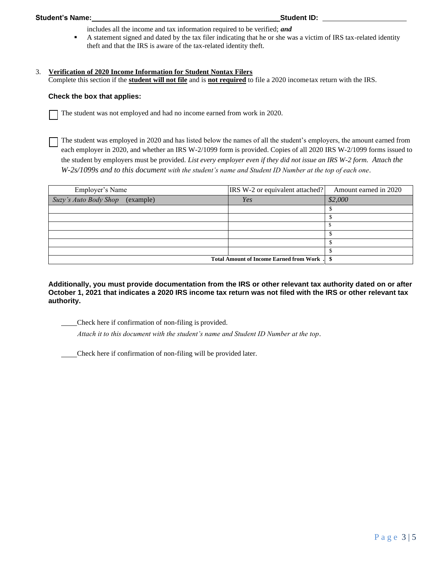includes all the income and tax information required to be verified; *and*

**•** A statement signed and dated by the tax filer indicating that he or she was a victim of IRS tax-related identity theft and that the IRS is aware of the tax-related identity theft.

# 3. **Verification of 2020 Income Information for Student Nontax Filers**

Complete this section if the **student will not file** and is **not required** to file a 2020 incometax return with the IRS.

#### **Check the box that applies:**

The student was not employed and had no income earned from work in 2020.

The student was employed in 2020 and has listed below the names of all the student's employers, the amount earned from each employer in 2020, and whether an IRS W-2/1099 form is provided. Copies of all 2020 IRS W-2/1099 forms issued to the student by employers must be provided. *List every employer even if they did not issue an IRS W-2 form. Attach the W-2s/1099s and to this document with the student's name and Student ID Number at the top of each one*.

| Employer's Name                             | IRS W-2 or equivalent attached? | Amount earned in 2020 |
|---------------------------------------------|---------------------------------|-----------------------|
| Suzy's Auto Body Shop (example)             | Yes                             | \$2,000               |
|                                             |                                 |                       |
|                                             |                                 |                       |
|                                             |                                 |                       |
|                                             |                                 |                       |
|                                             |                                 |                       |
|                                             |                                 |                       |
| Total Amount of Income Earned from Work. \$ |                                 |                       |

**Additionally, you must provide documentation from the IRS or other relevant tax authority dated on or after October 1, 2021 that indicates a 2020 IRS income tax return was not filed with the IRS or other relevant tax authority.**

Check here if confirmation of non-filing is provided.

 *Attach it to this document with the student's name and Student ID Number at the top*.

Check here if confirmation of non-filing will be provided later.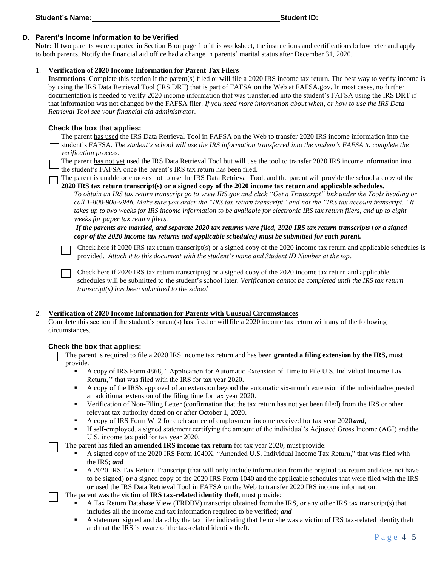# **D.** Parent's Income Information to be Verified

**Note:** If two parents were reported in Section B on page 1 of this worksheet, the instructions and certifications below refer and apply to both parents. Notify the financial aid office had a change in parents' marital status after December 31, 2020.

## 1. **Verification of 2020 Income Information for Parent Tax Filers**

**Instructions**: Complete this section if the parent(s) filed or will file a 2020 IRS income tax return. The best way to verify income is by using the IRS Data Retrieval Tool (IRS DRT) that is part of FAFSA on the Web at FAFSA.gov. In most cases, no further documentation is needed to verify 2020 income information that was transferred into the student's FAFSA using the IRS DRT if that information was not changed by the FAFSA filer. *If you need more information about when, or how to use the IRS Data Retrieval Tool see your financial aid administrator.*

# **Check the box that applies:**

The parent has used the IRS Data Retrieval Tool in FAFSA on the Web to transfer 2020 IRS income information into the student's FAFSA. The student's school will use the IRS information transferred into the student's FAFSA to complete the *verification process*.

The parent has not yet used the IRS Data Retrieval Tool but will use the tool to transfer 2020 IRS income information into the student's FAFSA once the parent's IRS tax return has been filed.

The parent is unable or chooses not to use the IRS Data Retrieval Tool, and the parent will provide the school a copy of the **2020 IRS tax return transcript(s) or a signed copy of the 2020 income tax return and applicable schedules.** 

*To obtain an IRS tax return transcript go to [www.IRS.gov a](http://www.irs.gov/)nd click "Get a Transcript" link under the Tools heading or call 1-800-908-9946. Make sure you order the "IRS tax return transcript" and not the "IRS tax account transcript." It takes up to two weeks for IRS income information to be available for electronic IRS tax return filers, and up to eight weeks for paper tax return filers.*

*If the parents are married, and separate 2020 tax returns were filed, 2020 IRS tax return transcripts* (*or a signed copy of the 2020 income tax returns and applicable schedules) must be submitted for each parent.*

Check here if 2020 IRS tax return transcript(s) or a signed copy of the 2020 income tax return and applicable schedules is provided. *Attach it to this document with the student's name and Student ID Number at the top*.

Check here if 2020 IRS tax return transcript(s) or a signed copy of the 2020 income tax return and applicable schedules will be submitted to the student's school later. *Verification cannot be completed until the IRS tax return transcript(s) has been submitted to the school*

## 2. **Verification of 2020 Income Information for Parents with Unusual Circumstances**

Complete this section if the student's parent(s) has filed or willfile a 2020 income tax return with any of the following circumstances.

## **Check the box that applies:**

The parent is required to file a 2020 IRS income tax return and has been **granted a filing extension by the IRS,** must provide.

- A copy of IRS Form 4868, ''Application for Automatic Extension of Time to File U.S. Individual Income Tax Return,'' that was filed with the IRS for tax year 2020.
- A copy of the IRS's approval of an extension beyond the automatic six-month extension if the individualrequested an additional extension of the filing time for tax year 2020.
- **•** Verification of Non-Filing Letter (confirmation that the tax return has not yet been filed) from the IRS or other relevant tax authority dated on or after October 1, 2020.
- A copy of IRS Form W–2 for each source of employment income received for tax year 2020 *and*,
- If self-employed, a signed statement certifying the amount of the individual's Adjusted Gross Income (AGI) and the U.S. income tax paid for tax year 2020.

The parent has **filed an amended IRS income tax return** for tax year 2020, must provide:

- A signed copy of the 2020 IRS Form 1040X, "Amended U.S. Individual Income Tax Return," that was filed with the IRS; *and*
- **A 2020 IRS Tax Return Transcript (that will only include information from the original tax return and does not have** to be signed) **or** a signed copy of the 2020 IRS Form 1040 and the applicable schedules that were filed with the IRS **or** used the IRS Data Retrieval Tool in FAFSA on the Web to transfer 2020 IRS income information.

The parent was the **victim of IRS tax-related identity theft**, must provide:

- A Tax Return Database View (TRDBV) transcript obtained from the IRS, or any other IRS tax transcript(s) that includes all the income and tax information required to be verified; *and*
- A statement signed and dated by the tax filer indicating that he or she was a victim of IRS tax-related identity theft and that the IRS is aware of the tax-related identity theft.